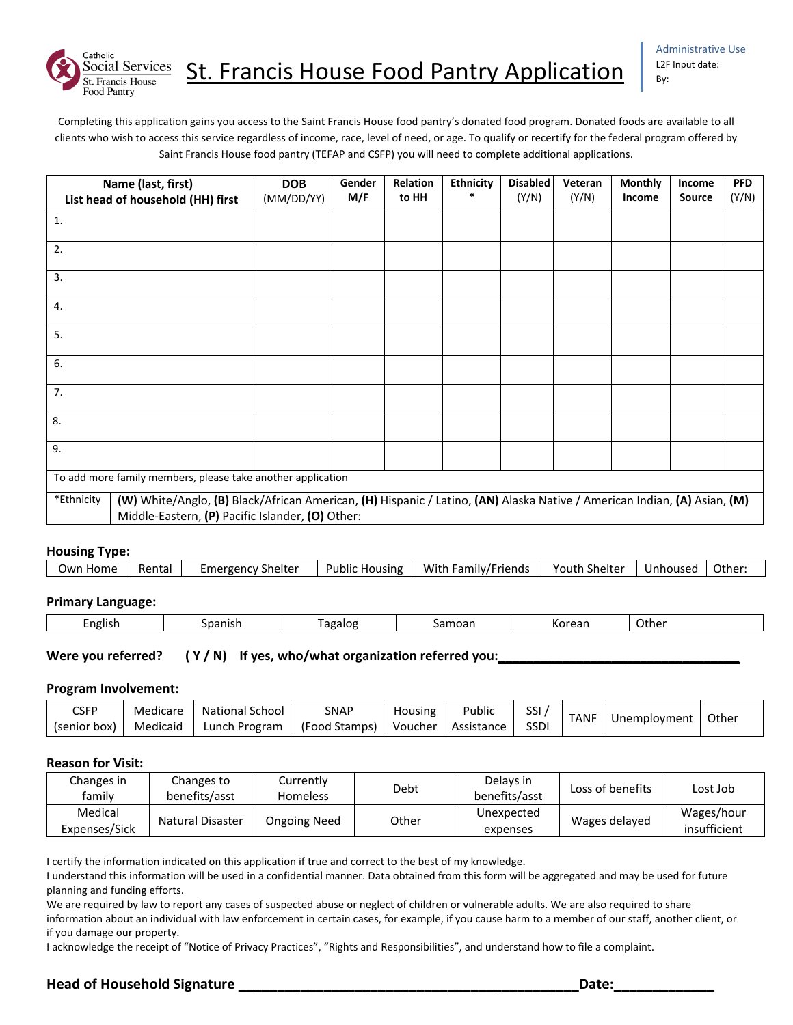

Completing this application gains you access to the Saint Francis House food pantry's donated food program. Donated foods are available to all clients who wish to access this service regardless of income, race, level of need, or age. To qualify or recertify for the federal program offered by Saint Francis House food pantry (TEFAP and CSFP) you will need to complete additional applications.

|                                                             | Name (last, first)<br>List head of household (HH) first                                                                                                                      |  | Gender<br>M/F | Relation<br>to HH | <b>Ethnicity</b><br>* | <b>Disabled</b><br>(Y/N) | Veteran<br>(Y/N) | <b>Monthly</b><br>Income | Income<br>Source | <b>PFD</b><br>(Y/N) |
|-------------------------------------------------------------|------------------------------------------------------------------------------------------------------------------------------------------------------------------------------|--|---------------|-------------------|-----------------------|--------------------------|------------------|--------------------------|------------------|---------------------|
| 1.                                                          |                                                                                                                                                                              |  |               |                   |                       |                          |                  |                          |                  |                     |
| 2.                                                          |                                                                                                                                                                              |  |               |                   |                       |                          |                  |                          |                  |                     |
| 3.                                                          |                                                                                                                                                                              |  |               |                   |                       |                          |                  |                          |                  |                     |
| 4.                                                          |                                                                                                                                                                              |  |               |                   |                       |                          |                  |                          |                  |                     |
| 5.                                                          |                                                                                                                                                                              |  |               |                   |                       |                          |                  |                          |                  |                     |
| 6.                                                          |                                                                                                                                                                              |  |               |                   |                       |                          |                  |                          |                  |                     |
| 7.                                                          |                                                                                                                                                                              |  |               |                   |                       |                          |                  |                          |                  |                     |
| 8.                                                          |                                                                                                                                                                              |  |               |                   |                       |                          |                  |                          |                  |                     |
| 9.                                                          |                                                                                                                                                                              |  |               |                   |                       |                          |                  |                          |                  |                     |
| To add more family members, please take another application |                                                                                                                                                                              |  |               |                   |                       |                          |                  |                          |                  |                     |
| *Ethnicity                                                  | (W) White/Anglo, (B) Black/African American, (H) Hispanic / Latino, (AN) Alaska Native / American Indian, (A) Asian, (M)<br>Middle-Eastern, (P) Pacific Islander, (O) Other: |  |               |                   |                       |                          |                  |                          |                  |                     |

#### **Housing Type:**

| Youth Shelter<br>With Family/Friends<br>Own Home<br>Public Housing<br>Rental<br>Unhoused |  |                   |  |  |        |
|------------------------------------------------------------------------------------------|--|-------------------|--|--|--------|
|                                                                                          |  | Emergency Shelter |  |  | Other: |

#### **Primary Language:**

| English<br>$\sim$ $\sim$ $\sim$ $\sim$<br>.oanish<br>- - - -<br>agalog<br>$\sim$<br>Salliual |  |  |  |  |  | Other |  |
|----------------------------------------------------------------------------------------------|--|--|--|--|--|-------|--|
|----------------------------------------------------------------------------------------------|--|--|--|--|--|-------|--|

### Were you referred? ( Y / N) If yes, who/what organization referred you:

#### **Program Involvement:**

| $\mathsf{CSFP}$ | Medicare | National School | SNAP          | Housing | Public     | SSI         | <b>TANF</b> | Unemployment | Other |
|-----------------|----------|-----------------|---------------|---------|------------|-------------|-------------|--------------|-------|
| (senior box)    | Medicaid | Lunch Program   | (Food Stamps) | Voucher | Assistance | <b>SSDI</b> |             |              |       |

#### **Reason for Visit:**

| Changes in<br>familv     | Changes to<br>benefits/asst | Currently<br><b>Homeless</b> | Debt  | Delays in<br>benefits/asst | Loss of benefits | Lost Job                   |
|--------------------------|-----------------------------|------------------------------|-------|----------------------------|------------------|----------------------------|
| Medical<br>Expenses/Sick | <b>Natural Disaster</b>     | <b>Ongoing Need</b>          | Other | Unexpected<br>expenses     | Wages delayed    | Wages/hour<br>insufficient |

I certify the information indicated on this application if true and correct to the best of my knowledge.

I understand this information will be used in a confidential manner. Data obtained from this form will be aggregated and may be used for future planning and funding efforts.

We are required by law to report any cases of suspected abuse or neglect of children or vulnerable adults. We are also required to share information about an individual with law enforcement in certain cases, for example, if you cause harm to a member of our staff, another client, or if you damage our property.

I acknowledge the receipt of "Notice of Privacy Practices", "Rights and Responsibilities", and understand how to file a complaint.

## **Head of Household Signature \_\_\_\_\_\_\_\_\_\_\_\_\_\_\_\_\_\_\_\_\_\_\_\_\_\_\_\_\_\_\_\_\_\_\_\_\_\_\_\_\_\_\_\_Date:\_\_\_\_\_\_\_\_\_\_\_\_\_**